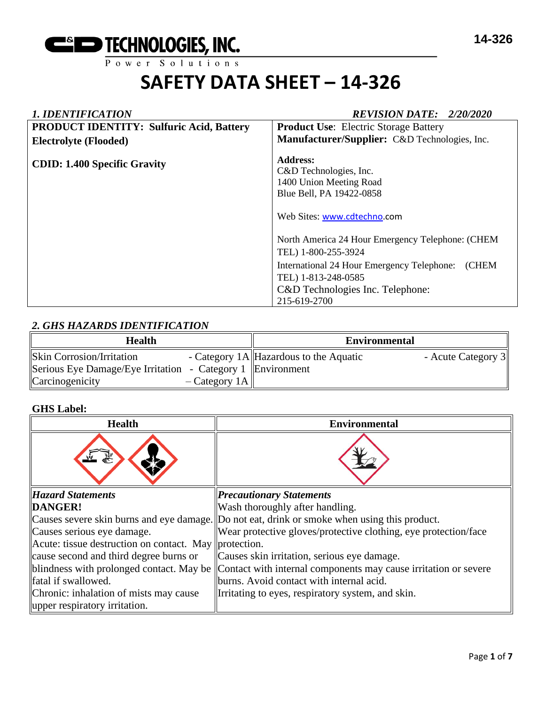

## *1. IDENTIFICATION REVISION DATE: 2/20/2020* **PRODUCT IDENTITY: Sulfuric Acid, Battery Electrolyte (Flooded) CDID: 1.400 Specific Gravity Product Use**: Electric Storage Battery **Manufacturer/Supplier:** C&D Technologies, Inc. **Address:**  C&D Technologies, Inc. 1400 Union Meeting Road Blue Bell, PA 19422-0858 Web Sites: [www.cdtechno.](http://www.cdtechno/)com North America 24 Hour Emergency Telephone: (CHEM TEL) 1-800-255-3924 International 24 Hour Emergency Telephone: (CHEM TEL) 1-813-248-0585 C&D Technologies Inc. Telephone: 215-619-2700

# *2. GHS HAZARDS IDENTIFICATION*

| <b>Health</b>                                                                                   |                | <b>Environmental</b>                    |                    |
|-------------------------------------------------------------------------------------------------|----------------|-----------------------------------------|--------------------|
| <b>Skin Corrosion/Irritation</b><br>Serious Eye Damage/Eye Irritation - Category 1  Environment |                | - Category 1A  Hazardous to the Aquatic | - Acute Category 3 |
| Carcinogenicity                                                                                 | $-Category 1A$ |                                         |                    |

## **GHS Label:**

| <b>Health</b>                                         | <b>Environmental</b>                                                                         |
|-------------------------------------------------------|----------------------------------------------------------------------------------------------|
|                                                       |                                                                                              |
| <b>Hazard Statements</b>                              | <b>Precautionary Statements</b>                                                              |
| DANGER!                                               | Wash thoroughly after handling.                                                              |
|                                                       | Causes severe skin burns and eye damage. Do not eat, drink or smoke when using this product. |
| Causes serious eye damage.                            | Wear protective gloves/protective clothing, eye protection/face                              |
| Acute: tissue destruction on contact. May protection. |                                                                                              |
| cause second and third degree burns or                | Causes skin irritation, serious eye damage.                                                  |
| blindness with prolonged contact. May be              | Contact with internal components may cause irritation or severe                              |
| fatal if swallowed.                                   | burns. Avoid contact with internal acid.                                                     |
| Chronic: inhalation of mists may cause                | Irritating to eyes, respiratory system, and skin.                                            |
| upper respiratory irritation.                         |                                                                                              |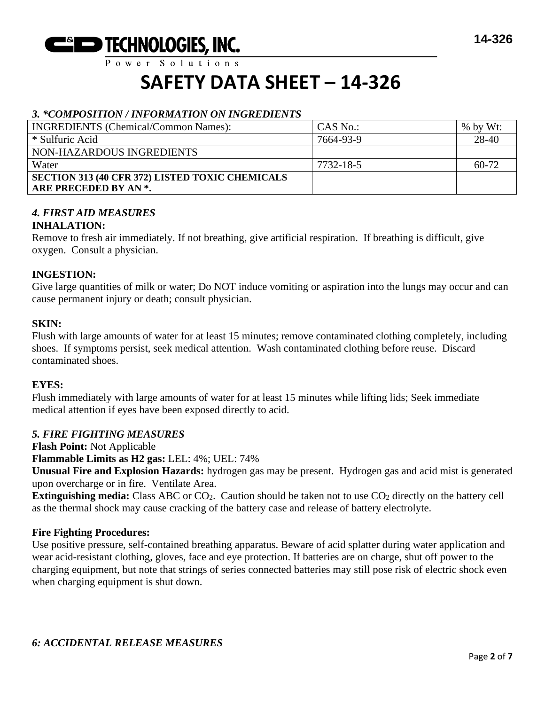

 $P$  ower Solutions

# **SAFETY DATA SHEET – 14-326**

## *3. \*COMPOSITION / INFORMATION ON INGREDIENTS*

| <b>INGREDIENTS</b> (Chemical/Common Names):            | CAS No.:  | $%$ by Wt: |
|--------------------------------------------------------|-----------|------------|
| * Sulfuric Acid                                        | 7664-93-9 | 28-40      |
| NON-HAZARDOUS INGREDIENTS                              |           |            |
| Water                                                  | 7732-18-5 | $60-72$    |
| <b>SECTION 313 (40 CFR 372) LISTED TOXIC CHEMICALS</b> |           |            |
| ARE PRECEDED BY AN *.                                  |           |            |

# *4. FIRST AID MEASURES*

## **INHALATION:**

Remove to fresh air immediately. If not breathing, give artificial respiration. If breathing is difficult, give oxygen. Consult a physician.

## **INGESTION:**

Give large quantities of milk or water; Do NOT induce vomiting or aspiration into the lungs may occur and can cause permanent injury or death; consult physician.

## **SKIN:**

Flush with large amounts of water for at least 15 minutes; remove contaminated clothing completely, including shoes. If symptoms persist, seek medical attention. Wash contaminated clothing before reuse. Discard contaminated shoes.

#### **EYES:**

Flush immediately with large amounts of water for at least 15 minutes while lifting lids; Seek immediate medical attention if eyes have been exposed directly to acid.

## *5. FIRE FIGHTING MEASURES*

**Flash Point:** Not Applicable

**Flammable Limits as H2 gas:** LEL: 4%; UEL: 74%

**Unusual Fire and Explosion Hazards:** hydrogen gas may be present. Hydrogen gas and acid mist is generated upon overcharge or in fire. Ventilate Area.

**Extinguishing media:** Class ABC or CO<sub>2</sub>. Caution should be taken not to use CO<sub>2</sub> directly on the battery cell as the thermal shock may cause cracking of the battery case and release of battery electrolyte.

## **Fire Fighting Procedures:**

Use positive pressure, self-contained breathing apparatus. Beware of acid splatter during water application and wear acid-resistant clothing, gloves, face and eye protection. If batteries are on charge, shut off power to the charging equipment, but note that strings of series connected batteries may still pose risk of electric shock even when charging equipment is shut down.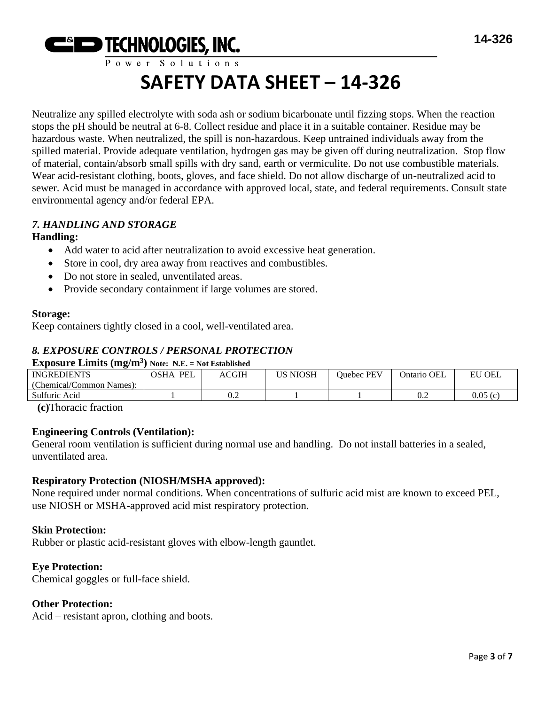

Neutralize any spilled electrolyte with soda ash or sodium bicarbonate until fizzing stops. When the reaction stops the pH should be neutral at 6-8. Collect residue and place it in a suitable container. Residue may be hazardous waste. When neutralized, the spill is non-hazardous. Keep untrained individuals away from the spilled material. Provide adequate ventilation, hydrogen gas may be given off during neutralization. Stop flow of material, contain/absorb small spills with dry sand, earth or vermiculite. Do not use combustible materials. Wear acid-resistant clothing, boots, gloves, and face shield. Do not allow discharge of un-neutralized acid to sewer. Acid must be managed in accordance with approved local, state, and federal requirements. Consult state environmental agency and/or federal EPA.

# *7. HANDLING AND STORAGE*

# **Handling:**

- Add water to acid after neutralization to avoid excessive heat generation.
- Store in cool, dry area away from reactives and combustibles.
- Do not store in sealed, unventilated areas.
- Provide secondary containment if large volumes are stored.

## **Storage:**

Keep containers tightly closed in a cool, well-ventilated area.

# *8. EXPOSURE CONTROLS / PERSONAL PROTECTION*

## **Exposure Limits (mg/m<sup>3</sup> ) Note: N.E. = Not Established**

|                          | $110001 + 1121 = 1100$    |       |          |                   |             |             |
|--------------------------|---------------------------|-------|----------|-------------------|-------------|-------------|
| <b>INGREDIENTS</b>       | <b>PEL</b><br><b>OSHA</b> | ACGIH | US NIOSH | <b>Duebec PEV</b> | Ontario OEL | ' OEL<br>EU |
| (Chemical/Common Names): |                           |       |          |                   |             |             |
| Sulfuric Acid            |                           | v.z   |          |                   | 0.2         | 0.05(c)     |
|                          |                           |       |          |                   |             |             |

**(c)**Thoracic fraction

## **Engineering Controls (Ventilation):**

General room ventilation is sufficient during normal use and handling. Do not install batteries in a sealed, unventilated area.

## **Respiratory Protection (NIOSH/MSHA approved):**

None required under normal conditions. When concentrations of sulfuric acid mist are known to exceed PEL, use NIOSH or MSHA-approved acid mist respiratory protection.

## **Skin Protection:**

Rubber or plastic acid-resistant gloves with elbow-length gauntlet.

## **Eye Protection:**

Chemical goggles or full-face shield.

## **Other Protection:**

Acid – resistant apron, clothing and boots.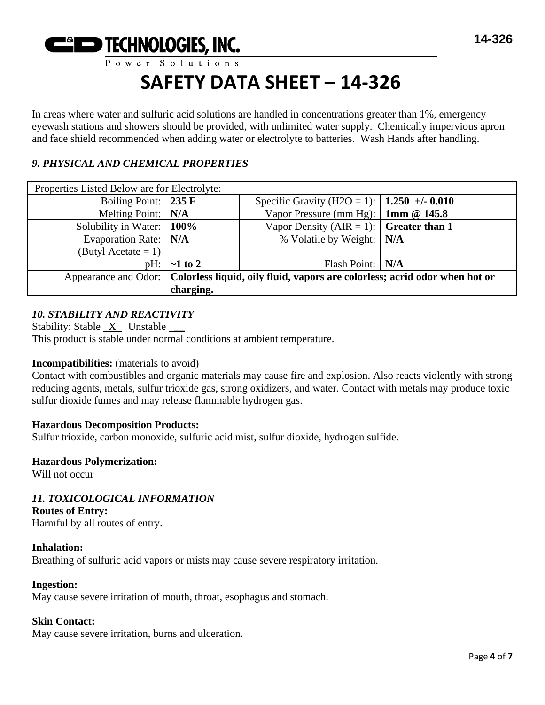

In areas where water and sulfuric acid solutions are handled in concentrations greater than 1%, emergency eyewash stations and showers should be provided, with unlimited water supply. Chemically impervious apron and face shield recommended when adding water or electrolyte to batteries. Wash Hands after handling.

# *9. PHYSICAL AND CHEMICAL PROPERTIES*

| Properties Listed Below are for Electrolyte:                                                    |               |                                                |  |  |
|-------------------------------------------------------------------------------------------------|---------------|------------------------------------------------|--|--|
| Boiling Point: $\vert$ 235 F                                                                    |               | Specific Gravity (H2O = 1):   1.250 +/- 0.010  |  |  |
| Melting Point: $\vert N/A \vert$                                                                |               | Vapor Pressure (mm Hg): $\vert$ 1mm @ 145.8    |  |  |
| Solubility in Water:   100%                                                                     |               | Vapor Density (AIR = 1): $\int$ Greater than 1 |  |  |
| Evaporation Rate:   N/A                                                                         |               | % Volatile by Weight:   N/A                    |  |  |
| (Butyl Acetate = 1)                                                                             |               |                                                |  |  |
| pH:                                                                                             | $\sim$ 1 to 2 | Flash Point:   N/A                             |  |  |
| Appearance and Odor: Colorless liquid, oily fluid, vapors are colorless; acrid odor when hot or |               |                                                |  |  |
|                                                                                                 | charging.     |                                                |  |  |

## *10. STABILITY AND REACTIVITY*

Stability: Stable X Unstable \_\_ This product is stable under normal conditions at ambient temperature.

## **Incompatibilities:** (materials to avoid)

Contact with combustibles and organic materials may cause fire and explosion. Also reacts violently with strong reducing agents, metals, sulfur trioxide gas, strong oxidizers, and water. Contact with metals may produce toxic sulfur dioxide fumes and may release flammable hydrogen gas.

#### **Hazardous Decomposition Products:**

Sulfur trioxide, carbon monoxide, sulfuric acid mist, sulfur dioxide, hydrogen sulfide.

#### **Hazardous Polymerization:**

Will not occur

## *11. TOXICOLOGICAL INFORMATION*

#### **Routes of Entry:**

Harmful by all routes of entry.

## **Inhalation:**

Breathing of sulfuric acid vapors or mists may cause severe respiratory irritation.

#### **Ingestion:**

May cause severe irritation of mouth, throat, esophagus and stomach.

#### **Skin Contact:**

May cause severe irritation, burns and ulceration.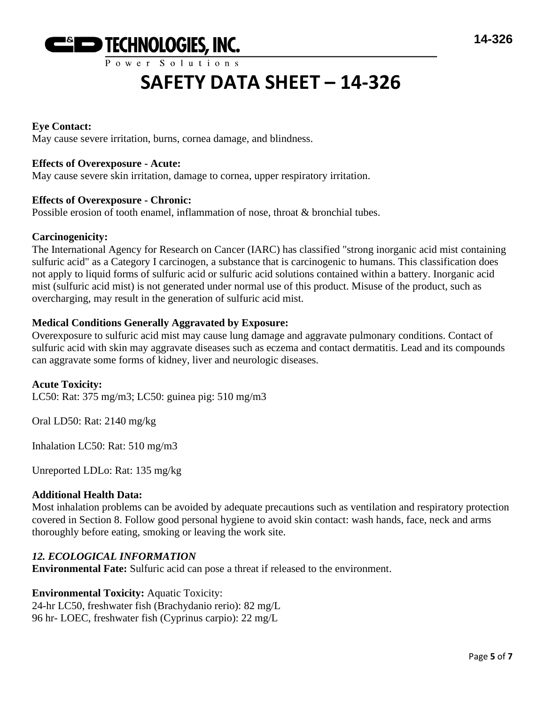

## **Eye Contact:**

May cause severe irritation, burns, cornea damage, and blindness.

## **Effects of Overexposure - Acute:**

May cause severe skin irritation, damage to cornea, upper respiratory irritation.

#### **Effects of Overexposure - Chronic:**

Possible erosion of tooth enamel, inflammation of nose, throat & bronchial tubes.

#### **Carcinogenicity:**

The International Agency for Research on Cancer (IARC) has classified "strong inorganic acid mist containing sulfuric acid" as a Category I carcinogen, a substance that is carcinogenic to humans. This classification does not apply to liquid forms of sulfuric acid or sulfuric acid solutions contained within a battery. Inorganic acid mist (sulfuric acid mist) is not generated under normal use of this product. Misuse of the product, such as overcharging, may result in the generation of sulfuric acid mist.

## **Medical Conditions Generally Aggravated by Exposure:**

Overexposure to sulfuric acid mist may cause lung damage and aggravate pulmonary conditions. Contact of sulfuric acid with skin may aggravate diseases such as eczema and contact dermatitis. Lead and its compounds can aggravate some forms of kidney, liver and neurologic diseases.

## **Acute Toxicity:**

LC50: Rat: 375 mg/m3; LC50: guinea pig: 510 mg/m3

Oral LD50: Rat: 2140 mg/kg

Inhalation LC50: Rat: 510 mg/m3

Unreported LDLo: Rat: 135 mg/kg

#### **Additional Health Data:**

Most inhalation problems can be avoided by adequate precautions such as ventilation and respiratory protection covered in Section 8. Follow good personal hygiene to avoid skin contact: wash hands, face, neck and arms thoroughly before eating, smoking or leaving the work site.

## *12. ECOLOGICAL INFORMATION*

**Environmental Fate:** Sulfuric acid can pose a threat if released to the environment.

## **Environmental Toxicity:** Aquatic Toxicity:

24-hr LC50, freshwater fish (Brachydanio rerio): 82 mg/L 96 hr- LOEC, freshwater fish (Cyprinus carpio): 22 mg/L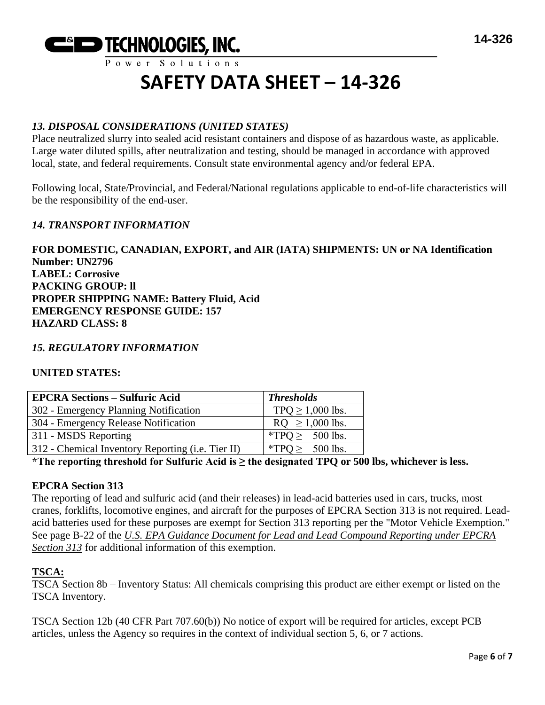

# *13. DISPOSAL CONSIDERATIONS (UNITED STATES)*

Place neutralized slurry into sealed acid resistant containers and dispose of as hazardous waste, as applicable. Large water diluted spills, after neutralization and testing, should be managed in accordance with approved local, state, and federal requirements. Consult state environmental agency and/or federal EPA.

Following local, State/Provincial, and Federal/National regulations applicable to end-of-life characteristics will be the responsibility of the end-user.

# *14. TRANSPORT INFORMATION*

**FOR DOMESTIC, CANADIAN, EXPORT, and AIR (IATA) SHIPMENTS: UN or NA Identification Number: UN2796 LABEL: Corrosive PACKING GROUP: ll PROPER SHIPPING NAME: Battery Fluid, Acid EMERGENCY RESPONSE GUIDE: 157 HAZARD CLASS: 8**

## *15. REGULATORY INFORMATION*

## **UNITED STATES:**

| <b>EPCRA Sections - Sulfuric Acid</b>             | <b>Thresholds</b>     |
|---------------------------------------------------|-----------------------|
| 302 - Emergency Planning Notification             | TPQ $\geq$ 1,000 lbs. |
| 304 - Emergency Release Notification              | $RQ \ge 1,000$ lbs.   |
| 311 - MSDS Reporting                              | *TPO $\geq$ 500 lbs.  |
| 312 - Chemical Inventory Reporting (i.e. Tier II) | *TPQ $\geq$ 500 lbs.  |

**\*The reporting threshold for Sulfuric Acid is ≥ the designated TPQ or 500 lbs, whichever is less.**

## **EPCRA Section 313**

The reporting of lead and sulfuric acid (and their releases) in lead-acid batteries used in cars, trucks, most cranes, forklifts, locomotive engines, and aircraft for the purposes of EPCRA Section 313 is not required. Leadacid batteries used for these purposes are exempt for Section 313 reporting per the "Motor Vehicle Exemption." See page B-22 of the *U.S. EPA Guidance Document for Lead and Lead Compound Reporting under EPCRA Section 313* for additional information of this exemption.

## **TSCA:**

TSCA Section 8b – Inventory Status: All chemicals comprising this product are either exempt or listed on the TSCA Inventory.

TSCA Section 12b (40 CFR Part 707.60(b)) No notice of export will be required for articles, except PCB articles, unless the Agency so requires in the context of individual section 5, 6, or 7 actions.